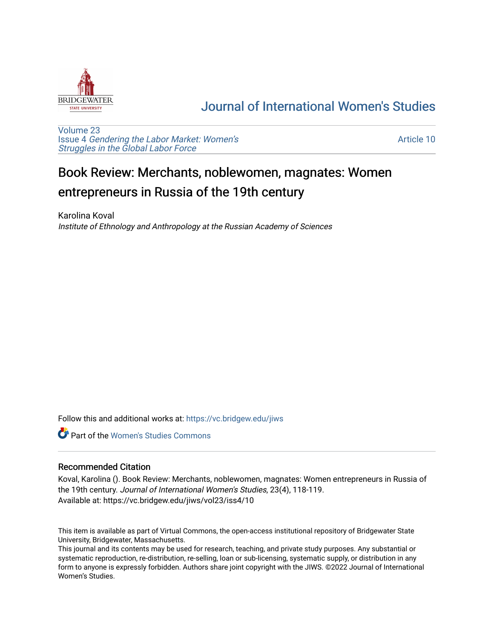

## [Journal of International Women's Studies](https://vc.bridgew.edu/jiws)

[Volume 23](https://vc.bridgew.edu/jiws/vol23) Issue 4 [Gendering the Labor Market: Women's](https://vc.bridgew.edu/jiws/vol23/iss4) [Struggles in the Global Labor Force](https://vc.bridgew.edu/jiws/vol23/iss4)

[Article 10](https://vc.bridgew.edu/jiws/vol23/iss4/10) 

## Book Review: Merchants, noblewomen, magnates: Women entrepreneurs in Russia of the 19th century

Karolina Koval Institute of Ethnology and Anthropology at the Russian Academy of Sciences

Follow this and additional works at: [https://vc.bridgew.edu/jiws](https://vc.bridgew.edu/jiws?utm_source=vc.bridgew.edu%2Fjiws%2Fvol23%2Fiss4%2F10&utm_medium=PDF&utm_campaign=PDFCoverPages)

**C** Part of the Women's Studies Commons

## Recommended Citation

Koval, Karolina (). Book Review: Merchants, noblewomen, magnates: Women entrepreneurs in Russia of the 19th century. Journal of International Women's Studies, 23(4), 118-119. Available at: https://vc.bridgew.edu/jiws/vol23/iss4/10

This item is available as part of Virtual Commons, the open-access institutional repository of Bridgewater State University, Bridgewater, Massachusetts.

This journal and its contents may be used for research, teaching, and private study purposes. Any substantial or systematic reproduction, re-distribution, re-selling, loan or sub-licensing, systematic supply, or distribution in any form to anyone is expressly forbidden. Authors share joint copyright with the JIWS. ©2022 Journal of International Women's Studies.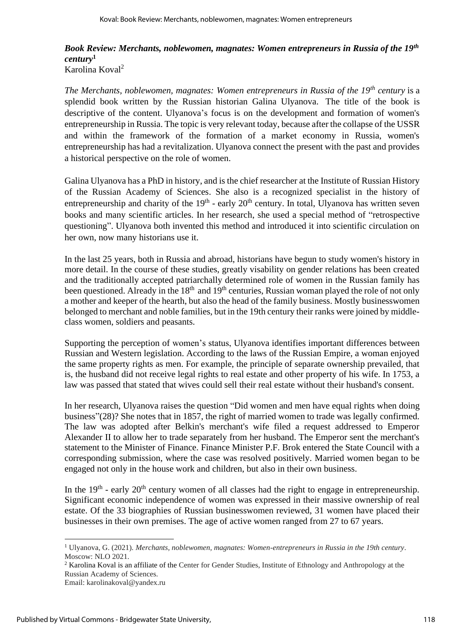## *Book Review: Merchants, noblewomen, magnates: Women entrepreneurs in Russia of the 19th century***<sup>1</sup>** Karolina Koval<sup>2</sup>

*The Merchants, noblewomen, magnates: Women entrepreneurs in Russia of the 19th century* is a splendid book written by the Russian historian Galina Ulyanova. The title of the book is descriptive of the content. Ulyanova's focus is on the development and formation of women's entrepreneurship in Russia. The topic is very relevant today, because after the collapse of the USSR and within the framework of the formation of a market economy in Russia, women's entrepreneurship has had a revitalization. Ulyanova connect the present with the past and provides a historical perspective on the role of women.

Galina Ulyanova has a PhD in history, and is the chief researcher at the Institute of Russian History of the Russian Academy of Sciences. She also is a recognized specialist in the history of entrepreneurship and charity of the  $19<sup>th</sup>$  - early  $20<sup>th</sup>$  century. In total, Ulyanova has written seven books and many scientific articles. In her research, she used a special method of "retrospective questioning". Ulyanova both invented this method and introduced it into scientific circulation on her own, now many historians use it.

In the last 25 years, both in Russia and abroad, historians have begun to study women's history in more detail. In the course of these studies, greatly visability on gender relations has been created and the traditionally accepted patriarchally determined role of women in the Russian family has been questioned. Already in the  $18<sup>th</sup>$  and  $19<sup>th</sup>$  centuries, Russian woman played the role of not only a mother and keeper of the hearth, but also the head of the family business. Mostly businesswomen belonged to merchant and noble families, but in the 19th century their ranks were joined by middleclass women, soldiers and peasants.

Supporting the perception of women's status, Ulyanova identifies important differences between Russian and Western legislation. According to the laws of the Russian Empire, a woman enjoyed the same property rights as men. For example, the principle of separate ownership prevailed, that is, the husband did not receive legal rights to real estate and other property of his wife. In 1753, a law was passed that stated that wives could sell their real estate without their husband's consent.

In her research, Ulyanova raises the question "Did women and men have equal rights when doing business"(28)? She notes that in 1857, the right of married women to trade was legally confirmed. The law was adopted after Belkin's merchant's wife filed a request addressed to Emperor Alexander II to allow her to trade separately from her husband. The Emperor sent the merchant's statement to the Minister of Finance. Finance Minister P.F. Brok entered the State Council with a corresponding submission, where the case was resolved positively. Married women began to be engaged not only in the house work and children, but also in their own business.

In the  $19<sup>th</sup>$  - early  $20<sup>th</sup>$  century women of all classes had the right to engage in entrepreneurship. Significant economic independence of women was expressed in their massive ownership of real estate. Of the 33 biographies of Russian businesswomen reviewed, 31 women have placed their businesses in their own premises. The age of active women ranged from 27 to 67 years.

<sup>1</sup> Ulyanova, G. (2021). *Merchants, noblewomen, magnates: Women-entrepreneurs in Russia in the 19th century*. Moscow: NLO 2021.

<sup>&</sup>lt;sup>2</sup> Karolina Koval is an affiliate of the Center for Gender Studies, Institute of Ethnology and Anthropology at the Russian Academy of Sciences.

Email: karolinakoval@yandex.ru